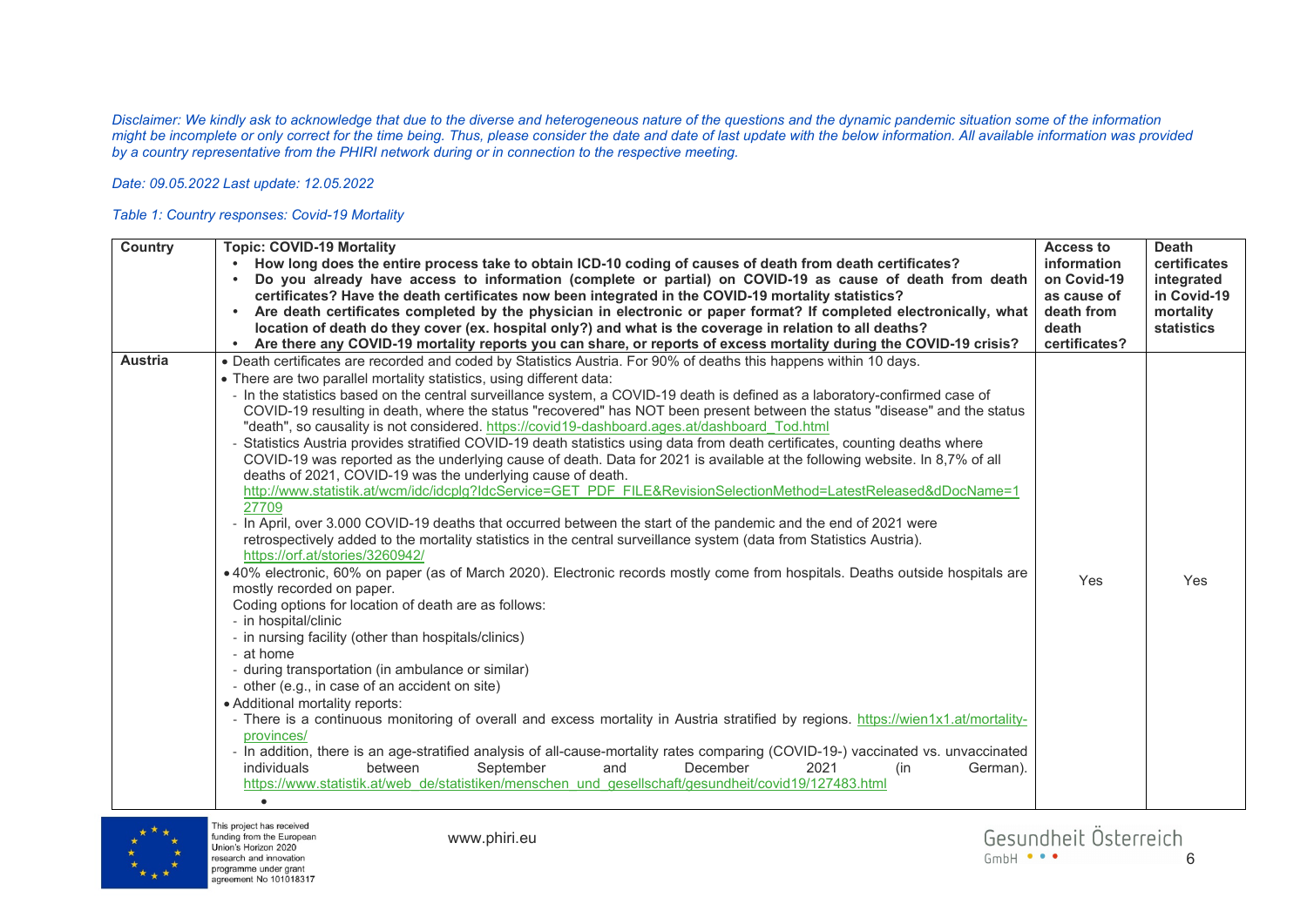*Disclaimer: We kindly ask to acknowledge that due to the diverse and heterogeneous nature of the questions and the dynamic pandemic situation some of the information might be incomplete or only correct for the time being. Thus, please consider the date and date of last update with the below information. All available information was provided by a country representative from the PHIRI network during or in connection to the respective meeting.* 

## *Date: 09.05.2022 Last update: 12.05.2022*

## *Table 1: Country responses: Covid-19 Mortality*

| Country        | <b>Topic: COVID-19 Mortality</b><br>How long does the entire process take to obtain ICD-10 coding of causes of death from death certificates?<br>Do you already have access to information (complete or partial) on COVID-19 as cause of death from death<br>certificates? Have the death certificates now been integrated in the COVID-19 mortality statistics?<br>Are death certificates completed by the physician in electronic or paper format? If completed electronically, what<br>$\bullet$<br>location of death do they cover (ex. hospital only?) and what is the coverage in relation to all deaths?<br>Are there any COVID-19 mortality reports you can share, or reports of excess mortality during the COVID-19 crisis?<br>$\bullet$                                                                                                                                                                                                                                                                                                                                                                                                                                                                                                                                                                                                                                                                                                                                                                                                                                                                                                                                                                                                                                                                                                                                                                                                                                                                                                                                                                                                                                                                                                              | Access to<br>information<br>on Covid-19<br>as cause of<br>death from<br>death<br>certificates? | <b>Death</b><br>certificates<br>integrated<br>in Covid-19<br>mortality<br><b>statistics</b> |
|----------------|-----------------------------------------------------------------------------------------------------------------------------------------------------------------------------------------------------------------------------------------------------------------------------------------------------------------------------------------------------------------------------------------------------------------------------------------------------------------------------------------------------------------------------------------------------------------------------------------------------------------------------------------------------------------------------------------------------------------------------------------------------------------------------------------------------------------------------------------------------------------------------------------------------------------------------------------------------------------------------------------------------------------------------------------------------------------------------------------------------------------------------------------------------------------------------------------------------------------------------------------------------------------------------------------------------------------------------------------------------------------------------------------------------------------------------------------------------------------------------------------------------------------------------------------------------------------------------------------------------------------------------------------------------------------------------------------------------------------------------------------------------------------------------------------------------------------------------------------------------------------------------------------------------------------------------------------------------------------------------------------------------------------------------------------------------------------------------------------------------------------------------------------------------------------------------------------------------------------------------------------------------------------|------------------------------------------------------------------------------------------------|---------------------------------------------------------------------------------------------|
| <b>Austria</b> | . Death certificates are recorded and coded by Statistics Austria. For 90% of deaths this happens within 10 days.<br>• There are two parallel mortality statistics, using different data:<br>- In the statistics based on the central surveillance system, a COVID-19 death is defined as a laboratory-confirmed case of<br>COVID-19 resulting in death, where the status "recovered" has NOT been present between the status "disease" and the status<br>"death", so causality is not considered. https://covid19-dashboard.ages.at/dashboard Tod.html<br>Statistics Austria provides stratified COVID-19 death statistics using data from death certificates, counting deaths where<br>COVID-19 was reported as the underlying cause of death. Data for 2021 is available at the following website. In 8,7% of all<br>deaths of 2021, COVID-19 was the underlying cause of death.<br>http://www.statistik.at/wcm/idc/idcplg?IdcService=GET PDF FILE&RevisionSelectionMethod=LatestReleased&dDocName=1<br>27709<br>- In April, over 3.000 COVID-19 deaths that occurred between the start of the pandemic and the end of 2021 were<br>retrospectively added to the mortality statistics in the central surveillance system (data from Statistics Austria).<br>https://orf.at/stories/3260942/<br>• 40% electronic, 60% on paper (as of March 2020). Electronic records mostly come from hospitals. Deaths outside hospitals are<br>mostly recorded on paper.<br>Coding options for location of death are as follows:<br>- in hospital/clinic<br>- in nursing facility (other than hospitals/clinics)<br>- at home<br>- during transportation (in ambulance or similar)<br>- other (e.g., in case of an accident on site)<br>• Additional mortality reports:<br>- There is a continuous monitoring of overall and excess mortality in Austria stratified by regions. https://wien1x1.at/mortality-<br>provinces/<br>- In addition, there is an age-stratified analysis of all-cause-mortality rates comparing (COVID-19-) vaccinated vs. unvaccinated<br>between<br>September<br>and<br>December<br>2021<br>individuals<br>German).<br>(in<br>https://www.statistik.at/web_de/statistiken/menschen_und_gesellschaft/gesundheit/covid19/127483.html<br>$\bullet$ | Yes                                                                                            | Yes                                                                                         |



This project has received funding from the European Union's Horizon 2020 research and innovation programme under grant agreement No 101018317

www.phiri.eu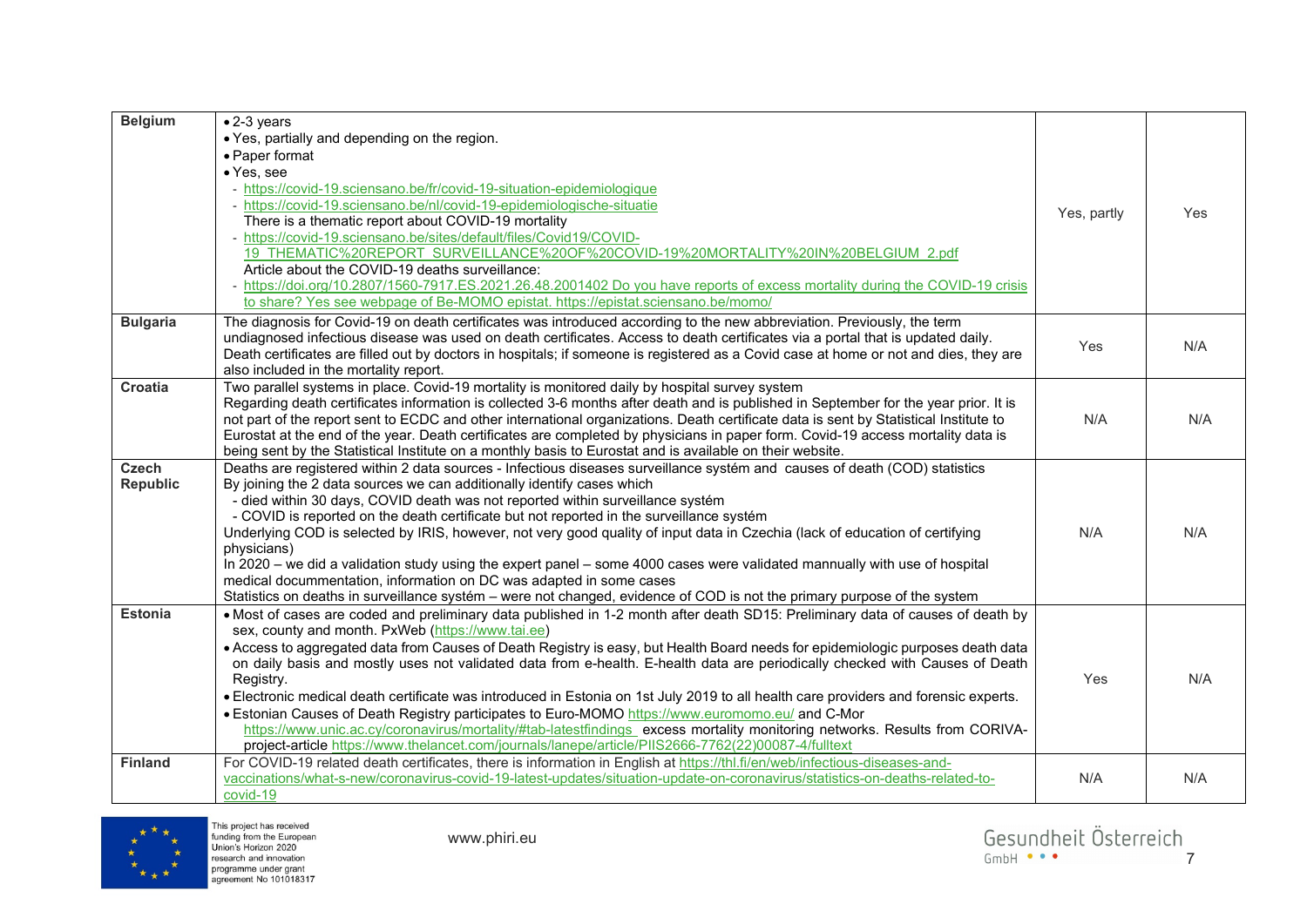| <b>Belgium</b>  | $\bullet$ 2-3 years                                                                                                                                                                 |             |     |
|-----------------|-------------------------------------------------------------------------------------------------------------------------------------------------------------------------------------|-------------|-----|
|                 | • Yes, partially and depending on the region.                                                                                                                                       |             |     |
|                 | • Paper format                                                                                                                                                                      |             |     |
|                 | • Yes, see                                                                                                                                                                          |             |     |
|                 | - https://covid-19.sciensano.be/fr/covid-19-situation-epidemiologique                                                                                                               |             |     |
|                 | - https://covid-19.sciensano.be/nl/covid-19-epidemiologische-situatie                                                                                                               | Yes, partly | Yes |
|                 | There is a thematic report about COVID-19 mortality                                                                                                                                 |             |     |
|                 | - https://covid-19.sciensano.be/sites/default/files/Covid19/COVID-                                                                                                                  |             |     |
|                 | 19 THEMATIC%20REPORT SURVEILLANCE%20OF%20COVID-19%20MORTALITY%20IN%20BELGIUM 2.pdf                                                                                                  |             |     |
|                 | Article about the COVID-19 deaths surveillance:                                                                                                                                     |             |     |
|                 | - https://doi.org/10.2807/1560-7917.ES.2021.26.48.2001402 Do you have reports of excess mortality during the COVID-19 crisis                                                        |             |     |
|                 | to share? Yes see webpage of Be-MOMO epistat. https://epistat.sciensano.be/momo/                                                                                                    |             |     |
| <b>Bulgaria</b> | The diagnosis for Covid-19 on death certificates was introduced according to the new abbreviation. Previously, the term                                                             |             |     |
|                 | undiagnosed infectious disease was used on death certificates. Access to death certificates via a portal that is updated daily.                                                     | Yes         | N/A |
|                 | Death certificates are filled out by doctors in hospitals; if someone is registered as a Covid case at home or not and dies, they are                                               |             |     |
|                 | also included in the mortality report.                                                                                                                                              |             |     |
| <b>Croatia</b>  | Two parallel systems in place. Covid-19 mortality is monitored daily by hospital survey system                                                                                      |             |     |
|                 | Regarding death certificates information is collected 3-6 months after death and is published in September for the year prior. It is                                                |             |     |
|                 | not part of the report sent to ECDC and other international organizations. Death certificate data is sent by Statistical Institute to                                               | N/A         | N/A |
|                 | Eurostat at the end of the year. Death certificates are completed by physicians in paper form. Covid-19 access mortality data is                                                    |             |     |
|                 | being sent by the Statistical Institute on a monthly basis to Eurostat and is available on their website.                                                                           |             |     |
| Czech           | Deaths are registered within 2 data sources - Infectious diseases surveillance systém and causes of death (COD) statistics                                                          |             |     |
| Republic        | By joining the 2 data sources we can additionally identify cases which                                                                                                              |             |     |
|                 | - died within 30 days, COVID death was not reported within surveillance systém                                                                                                      |             |     |
|                 | - COVID is reported on the death certificate but not reported in the surveillance systém                                                                                            |             |     |
|                 | Underlying COD is selected by IRIS, however, not very good quality of input data in Czechia (lack of education of certifying                                                        | N/A         | N/A |
|                 | physicians)                                                                                                                                                                         |             |     |
|                 | In 2020 – we did a validation study using the expert panel – some 4000 cases were validated mannually with use of hospital                                                          |             |     |
|                 | medical docummentation, information on DC was adapted in some cases                                                                                                                 |             |     |
|                 | Statistics on deaths in surveillance systém - were not changed, evidence of COD is not the primary purpose of the system                                                            |             |     |
| <b>Estonia</b>  | . Most of cases are coded and preliminary data published in 1-2 month after death SD15: Preliminary data of causes of death by<br>sex, county and month. PxWeb (https://www.tai.ee) |             |     |
|                 | • Access to aggregated data from Causes of Death Registry is easy, but Health Board needs for epidemiologic purposes death data                                                     |             |     |
|                 | on daily basis and mostly uses not validated data from e-health. E-health data are periodically checked with Causes of Death                                                        |             |     |
|                 | Registry.                                                                                                                                                                           | Yes         | N/A |
|                 | . Electronic medical death certificate was introduced in Estonia on 1st July 2019 to all health care providers and forensic experts.                                                |             |     |
|                 | . Estonian Causes of Death Registry participates to Euro-MOMO https://www.euromomo.eu/ and C-Mor                                                                                    |             |     |
|                 | https://www.unic.ac.cy/coronavirus/mortality/#tab-latestfindings_excess_mortality_monitoring_networks. Results_from_CORIVA-                                                         |             |     |
|                 | project-article https://www.thelancet.com/journals/lanepe/article/PIIS2666-7762(22)00087-4/fulltext                                                                                 |             |     |
| <b>Finland</b>  | For COVID-19 related death certificates, there is information in English at https://thl.fi/en/web/infectious-diseases-and-                                                          |             |     |
|                 | vaccinations/what-s-new/coronavirus-covid-19-latest-updates/situation-update-on-coronavirus/statistics-on-deaths-related-to-                                                        | N/A         | N/A |
|                 | covid-19                                                                                                                                                                            |             |     |



This project has received<br>funding from the European<br>Union's Horizon 2020<br>research and innovation<br>programme under grant<br>agreement No 101018317

www.phiri.eu

Gesundheit Österreich<br>
<sub>GmbH</sub> •••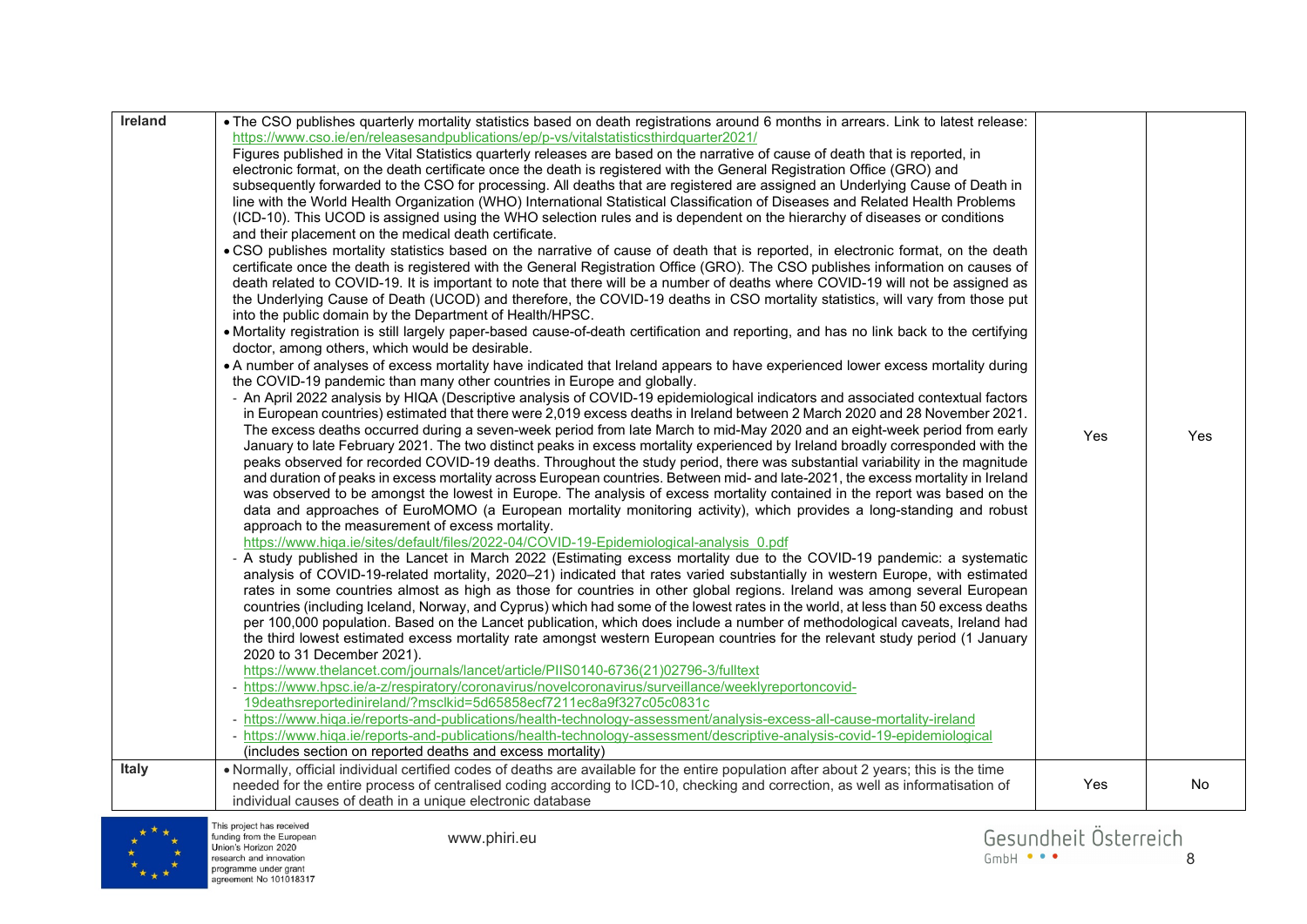| Ireland<br><b>Italy</b> | . The CSO publishes quarterly mortality statistics based on death registrations around 6 months in arrears. Link to latest release:<br>https://www.cso.ie/en/releasesandpublications/ep/p-vs/vitalstatisticsthirdquarter2021/<br>Figures published in the Vital Statistics quarterly releases are based on the narrative of cause of death that is reported, in<br>electronic format, on the death certificate once the death is registered with the General Registration Office (GRO) and<br>subsequently forwarded to the CSO for processing. All deaths that are registered are assigned an Underlying Cause of Death in<br>line with the World Health Organization (WHO) International Statistical Classification of Diseases and Related Health Problems<br>(ICD-10). This UCOD is assigned using the WHO selection rules and is dependent on the hierarchy of diseases or conditions<br>and their placement on the medical death certificate.<br>. CSO publishes mortality statistics based on the narrative of cause of death that is reported, in electronic format, on the death<br>certificate once the death is registered with the General Registration Office (GRO). The CSO publishes information on causes of<br>death related to COVID-19. It is important to note that there will be a number of deaths where COVID-19 will not be assigned as<br>the Underlying Cause of Death (UCOD) and therefore, the COVID-19 deaths in CSO mortality statistics, will vary from those put<br>into the public domain by the Department of Health/HPSC.<br>• Mortality registration is still largely paper-based cause-of-death certification and reporting, and has no link back to the certifying<br>doctor, among others, which would be desirable.<br>. A number of analyses of excess mortality have indicated that Ireland appears to have experienced lower excess mortality during<br>the COVID-19 pandemic than many other countries in Europe and globally.<br>- An April 2022 analysis by HIQA (Descriptive analysis of COVID-19 epidemiological indicators and associated contextual factors<br>in European countries) estimated that there were 2,019 excess deaths in Ireland between 2 March 2020 and 28 November 2021.<br>The excess deaths occurred during a seven-week period from late March to mid-May 2020 and an eight-week period from early<br>January to late February 2021. The two distinct peaks in excess mortality experienced by Ireland broadly corresponded with the<br>peaks observed for recorded COVID-19 deaths. Throughout the study period, there was substantial variability in the magnitude<br>and duration of peaks in excess mortality across European countries. Between mid- and late-2021, the excess mortality in Ireland<br>was observed to be amongst the lowest in Europe. The analysis of excess mortality contained in the report was based on the<br>data and approaches of EuroMOMO (a European mortality monitoring activity), which provides a long-standing and robust<br>approach to the measurement of excess mortality.<br>https://www.higa.ie/sites/default/files/2022-04/COVID-19-Epidemiological-analysis 0.pdf<br>- A study published in the Lancet in March 2022 (Estimating excess mortality due to the COVID-19 pandemic: a systematic<br>analysis of COVID-19-related mortality, 2020-21) indicated that rates varied substantially in western Europe, with estimated<br>rates in some countries almost as high as those for countries in other global regions. Ireland was among several European<br>countries (including Iceland, Norway, and Cyprus) which had some of the lowest rates in the world, at less than 50 excess deaths<br>per 100,000 population. Based on the Lancet publication, which does include a number of methodological caveats, Ireland had<br>the third lowest estimated excess mortality rate amongst western European countries for the relevant study period (1 January<br>2020 to 31 December 2021).<br>https://www.thelancet.com/journals/lancet/article/PIIS0140-6736(21)02796-3/fulltext<br>- https://www.hpsc.ie/a-z/respiratory/coronavirus/novelcoronavirus/surveillance/weeklyreportoncovid-<br>19deathsreportedinireland/?msclkid=5d65858ecf7211ec8a9f327c05c0831c<br>- https://www.hiqa.ie/reports-and-publications/health-technology-assessment/analysis-excess-all-cause-mortality-ireland<br>- https://www.higa.ie/reports-and-publications/health-technology-assessment/descriptive-analysis-covid-19-epidemiological<br>(includes section on reported deaths and excess mortality)<br>. Normally, official individual certified codes of deaths are available for the entire population after about 2 years; this is the time | Yes | Yes |
|-------------------------|------------------------------------------------------------------------------------------------------------------------------------------------------------------------------------------------------------------------------------------------------------------------------------------------------------------------------------------------------------------------------------------------------------------------------------------------------------------------------------------------------------------------------------------------------------------------------------------------------------------------------------------------------------------------------------------------------------------------------------------------------------------------------------------------------------------------------------------------------------------------------------------------------------------------------------------------------------------------------------------------------------------------------------------------------------------------------------------------------------------------------------------------------------------------------------------------------------------------------------------------------------------------------------------------------------------------------------------------------------------------------------------------------------------------------------------------------------------------------------------------------------------------------------------------------------------------------------------------------------------------------------------------------------------------------------------------------------------------------------------------------------------------------------------------------------------------------------------------------------------------------------------------------------------------------------------------------------------------------------------------------------------------------------------------------------------------------------------------------------------------------------------------------------------------------------------------------------------------------------------------------------------------------------------------------------------------------------------------------------------------------------------------------------------------------------------------------------------------------------------------------------------------------------------------------------------------------------------------------------------------------------------------------------------------------------------------------------------------------------------------------------------------------------------------------------------------------------------------------------------------------------------------------------------------------------------------------------------------------------------------------------------------------------------------------------------------------------------------------------------------------------------------------------------------------------------------------------------------------------------------------------------------------------------------------------------------------------------------------------------------------------------------------------------------------------------------------------------------------------------------------------------------------------------------------------------------------------------------------------------------------------------------------------------------------------------------------------------------------------------------------------------------------------------------------------------------------------------------------------------------------------------------------------------------------------------------------------------------------------------------------------------------------------------------------------------------------------------------------------------------------------------------------------------------------------------------------------------------------------------------------------------------------------------------------------------------------------------------------------------------------------------------------------------------------------------------------------------------------------------------------------------------------------------------------------------------------------------------------------------------------------------------------------------------------------------------------------------------------------------------------|-----|-----|
|                         | needed for the entire process of centralised coding according to ICD-10, checking and correction, as well as informatisation of<br>individual causes of death in a unique electronic database                                                                                                                                                                                                                                                                                                                                                                                                                                                                                                                                                                                                                                                                                                                                                                                                                                                                                                                                                                                                                                                                                                                                                                                                                                                                                                                                                                                                                                                                                                                                                                                                                                                                                                                                                                                                                                                                                                                                                                                                                                                                                                                                                                                                                                                                                                                                                                                                                                                                                                                                                                                                                                                                                                                                                                                                                                                                                                                                                                                                                                                                                                                                                                                                                                                                                                                                                                                                                                                                                                                                                                                                                                                                                                                                                                                                                                                                                                                                                                                                                                                                                                                                                                                                                                                                                                                                                                                                                                                                                                                                                        | Yes | No  |

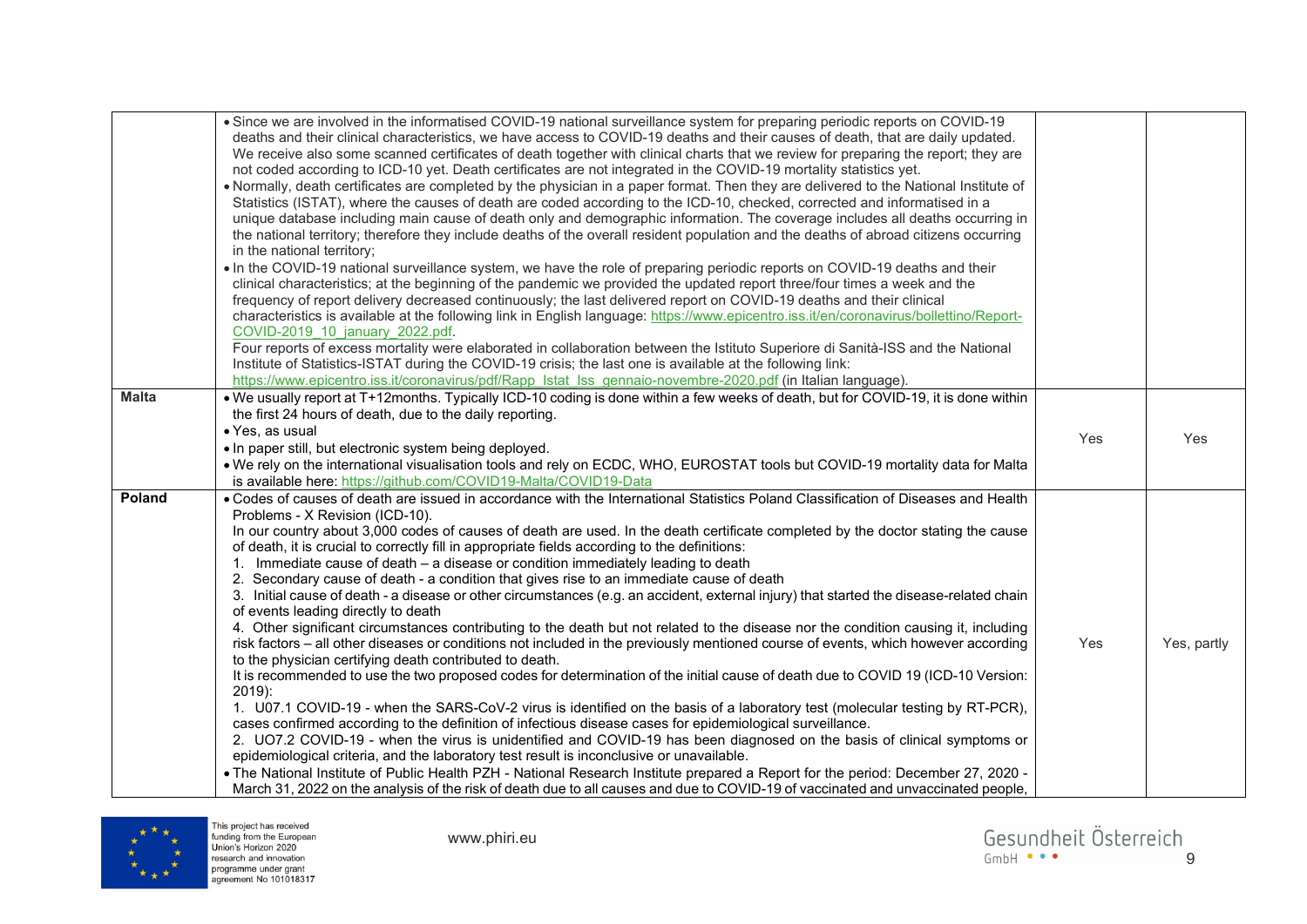|               | . Since we are involved in the informatised COVID-19 national surveillance system for preparing periodic reports on COVID-19<br>deaths and their clinical characteristics, we have access to COVID-19 deaths and their causes of death, that are daily updated.<br>We receive also some scanned certificates of death together with clinical charts that we review for preparing the report; they are<br>not coded according to ICD-10 yet. Death certificates are not integrated in the COVID-19 mortality statistics yet.<br>• Normally, death certificates are completed by the physician in a paper format. Then they are delivered to the National Institute of<br>Statistics (ISTAT), where the causes of death are coded according to the ICD-10, checked, corrected and informatised in a<br>unique database including main cause of death only and demographic information. The coverage includes all deaths occurring in<br>the national territory; therefore they include deaths of the overall resident population and the deaths of abroad citizens occurring<br>in the national territory;<br>. In the COVID-19 national surveillance system, we have the role of preparing periodic reports on COVID-19 deaths and their<br>clinical characteristics; at the beginning of the pandemic we provided the updated report three/four times a week and the<br>frequency of report delivery decreased continuously; the last delivered report on COVID-19 deaths and their clinical<br>characteristics is available at the following link in English language: https://www.epicentro.iss.it/en/coronavirus/bollettino/Report-<br>COVID-2019 10 january 2022.pdf.<br>Four reports of excess mortality were elaborated in collaboration between the Istituto Superiore di Sanità-ISS and the National<br>Institute of Statistics-ISTAT during the COVID-19 crisis; the last one is available at the following link:<br>https://www.epicentro.iss.it/coronavirus/pdf/Rapp Istat Iss gennaio-novembre-2020.pdf (in Italian language). |     |             |
|---------------|--------------------------------------------------------------------------------------------------------------------------------------------------------------------------------------------------------------------------------------------------------------------------------------------------------------------------------------------------------------------------------------------------------------------------------------------------------------------------------------------------------------------------------------------------------------------------------------------------------------------------------------------------------------------------------------------------------------------------------------------------------------------------------------------------------------------------------------------------------------------------------------------------------------------------------------------------------------------------------------------------------------------------------------------------------------------------------------------------------------------------------------------------------------------------------------------------------------------------------------------------------------------------------------------------------------------------------------------------------------------------------------------------------------------------------------------------------------------------------------------------------------------------------------------------------------------------------------------------------------------------------------------------------------------------------------------------------------------------------------------------------------------------------------------------------------------------------------------------------------------------------------------------------------------------------------------------------------------------------------------------------------------------------------------|-----|-------------|
| <b>Malta</b>  | . We usually report at T+12months. Typically ICD-10 coding is done within a few weeks of death, but for COVID-19, it is done within<br>the first 24 hours of death, due to the daily reporting.<br>· Yes, as usual<br>. In paper still, but electronic system being deployed.<br>. We rely on the international visualisation tools and rely on ECDC, WHO, EUROSTAT tools but COVID-19 mortality data for Malta<br>is available here: https://github.com/COVID19-Malta/COVID19-Data                                                                                                                                                                                                                                                                                                                                                                                                                                                                                                                                                                                                                                                                                                                                                                                                                                                                                                                                                                                                                                                                                                                                                                                                                                                                                                                                                                                                                                                                                                                                                        | Yes | Yes         |
| <b>Poland</b> | . Codes of causes of death are issued in accordance with the International Statistics Poland Classification of Diseases and Health<br>Problems - X Revision (ICD-10).<br>In our country about 3,000 codes of causes of death are used. In the death certificate completed by the doctor stating the cause<br>of death, it is crucial to correctly fill in appropriate fields according to the definitions:<br>1. Immediate cause of death - a disease or condition immediately leading to death<br>2. Secondary cause of death - a condition that gives rise to an immediate cause of death<br>3. Initial cause of death - a disease or other circumstances (e.g. an accident, external injury) that started the disease-related chain<br>of events leading directly to death<br>4. Other significant circumstances contributing to the death but not related to the disease nor the condition causing it, including<br>risk factors - all other diseases or conditions not included in the previously mentioned course of events, which however according<br>to the physician certifying death contributed to death.<br>It is recommended to use the two proposed codes for determination of the initial cause of death due to COVID 19 (ICD-10 Version:<br>$2019$ :<br>1. U07.1 COVID-19 - when the SARS-CoV-2 virus is identified on the basis of a laboratory test (molecular testing by RT-PCR),<br>cases confirmed according to the definition of infectious disease cases for epidemiological surveillance.<br>2. UO7.2 COVID-19 - when the virus is unidentified and COVID-19 has been diagnosed on the basis of clinical symptoms or<br>epidemiological criteria, and the laboratory test result is inconclusive or unavailable.<br>. The National Institute of Public Health PZH - National Research Institute prepared a Report for the period: December 27, 2020 -<br>March 31, 2022 on the analysis of the risk of death due to all causes and due to COVID-19 of vaccinated and unvaccinated people,                         | Yes | Yes, partly |

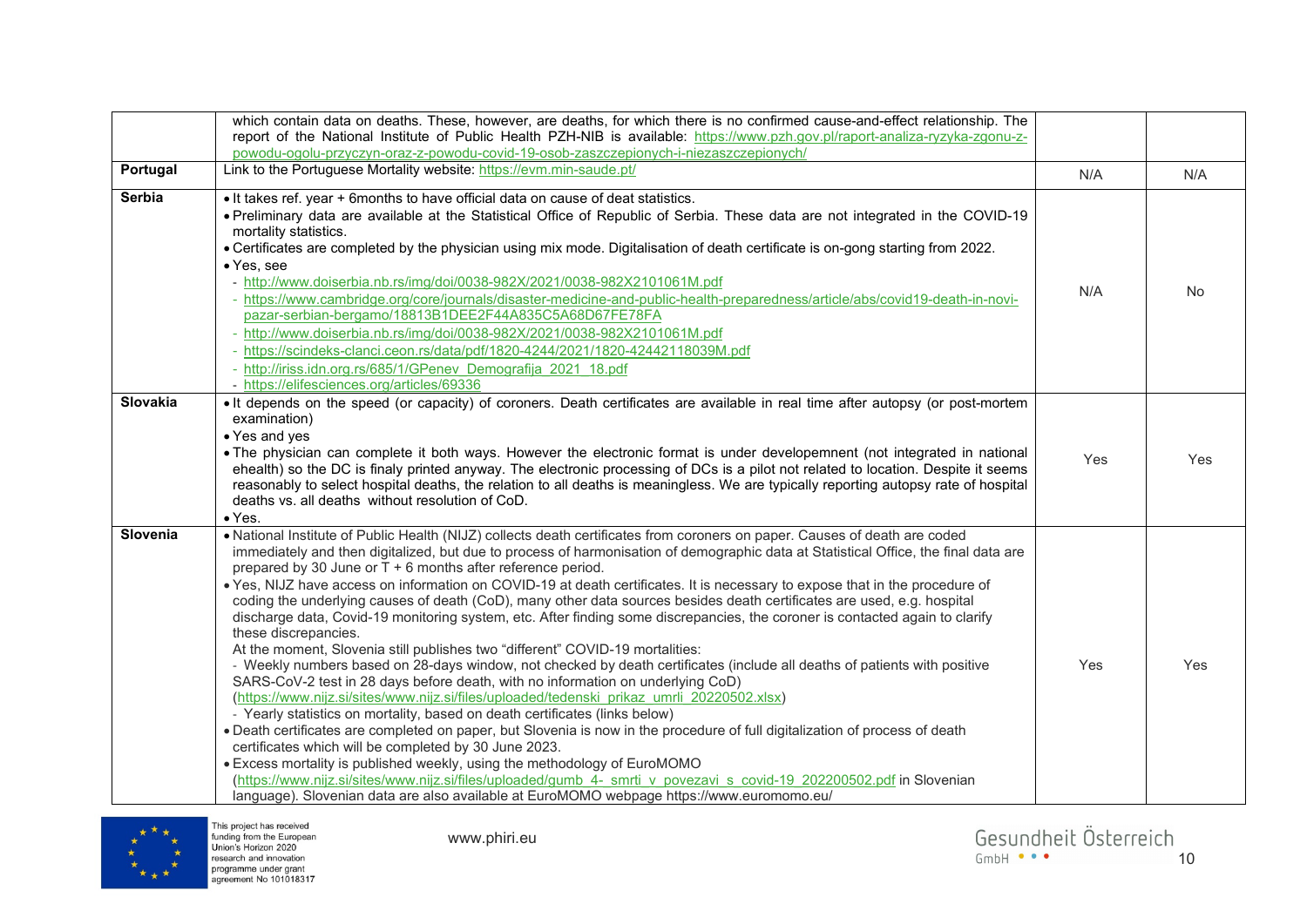|                 | which contain data on deaths. These, however, are deaths, for which there is no confirmed cause-and-effect relationship. The<br>report of the National Institute of Public Health PZH-NIB is available: https://www.pzh.gov.pl/raport-analiza-ryzyka-zgonu-z-                                                                                                                                                                                                                                                                                                                                                                                                                                                                                                                                                                                                                                                                                                                                                                                                                                                                                                                                                                                                                                                                                                                                                                                                                                                                                                                                                                                                                                                                |     |           |
|-----------------|------------------------------------------------------------------------------------------------------------------------------------------------------------------------------------------------------------------------------------------------------------------------------------------------------------------------------------------------------------------------------------------------------------------------------------------------------------------------------------------------------------------------------------------------------------------------------------------------------------------------------------------------------------------------------------------------------------------------------------------------------------------------------------------------------------------------------------------------------------------------------------------------------------------------------------------------------------------------------------------------------------------------------------------------------------------------------------------------------------------------------------------------------------------------------------------------------------------------------------------------------------------------------------------------------------------------------------------------------------------------------------------------------------------------------------------------------------------------------------------------------------------------------------------------------------------------------------------------------------------------------------------------------------------------------------------------------------------------------|-----|-----------|
| Portugal        | powodu-ogolu-przyczyn-oraz-z-powodu-covid-19-osob-zaszczepionych-i-niezaszczepionych/<br>Link to the Portuguese Mortality website: https://evm.min-saude.pt/                                                                                                                                                                                                                                                                                                                                                                                                                                                                                                                                                                                                                                                                                                                                                                                                                                                                                                                                                                                                                                                                                                                                                                                                                                                                                                                                                                                                                                                                                                                                                                 | N/A | N/A       |
| <b>Serbia</b>   | . It takes ref. year + 6months to have official data on cause of deat statistics.<br>• Preliminary data are available at the Statistical Office of Republic of Serbia. These data are not integrated in the COVID-19<br>mortality statistics.<br>• Certificates are completed by the physician using mix mode. Digitalisation of death certificate is on-gong starting from 2022.<br>• Yes, see<br>- http://www.doiserbia.nb.rs/img/doi/0038-982X/2021/0038-982X2101061M.pdf<br>- https://www.cambridge.org/core/journals/disaster-medicine-and-public-health-preparedness/article/abs/covid19-death-in-novi-<br>pazar-serbian-bergamo/18813B1DEE2F44A835C5A68D67FE78FA<br>- http://www.doiserbia.nb.rs/img/doi/0038-982X/2021/0038-982X2101061M.pdf<br>- https://scindeks-clanci.ceon.rs/data/pdf/1820-4244/2021/1820-42442118039M.pdf<br>- http://iriss.idn.org.rs/685/1/GPenev Demografija 2021 18.pdf<br>- https://elifesciences.org/articles/69336                                                                                                                                                                                                                                                                                                                                                                                                                                                                                                                                                                                                                                                                                                                                                                      | N/A | <b>No</b> |
| <b>Slovakia</b> | It depends on the speed (or capacity) of coroners. Death certificates are available in real time after autopsy (or post-mortem<br>examination)<br>• Yes and yes<br>• The physician can complete it both ways. However the electronic format is under developemnent (not integrated in national<br>ehealth) so the DC is finaly printed anyway. The electronic processing of DCs is a pilot not related to location. Despite it seems<br>reasonably to select hospital deaths, the relation to all deaths is meaningless. We are typically reporting autopsy rate of hospital<br>deaths vs. all deaths without resolution of CoD.<br>$\bullet$ Yes.                                                                                                                                                                                                                                                                                                                                                                                                                                                                                                                                                                                                                                                                                                                                                                                                                                                                                                                                                                                                                                                                           | Yes | Yes       |
| Slovenia        | . National Institute of Public Health (NIJZ) collects death certificates from coroners on paper. Causes of death are coded<br>immediately and then digitalized, but due to process of harmonisation of demographic data at Statistical Office, the final data are<br>prepared by 30 June or T + 6 months after reference period.<br>. Yes, NIJZ have access on information on COVID-19 at death certificates. It is necessary to expose that in the procedure of<br>coding the underlying causes of death (CoD), many other data sources besides death certificates are used, e.g. hospital<br>discharge data, Covid-19 monitoring system, etc. After finding some discrepancies, the coroner is contacted again to clarify<br>these discrepancies.<br>At the moment, Slovenia still publishes two "different" COVID-19 mortalities:<br>- Weekly numbers based on 28-days window, not checked by death certificates (include all deaths of patients with positive<br>SARS-CoV-2 test in 28 days before death, with no information on underlying CoD)<br>(https://www.nijz.si/sites/www.nijz.si/files/uploaded/tedenski prikaz umrli 20220502.xlsx)<br>- Yearly statistics on mortality, based on death certificates (links below)<br>. Death certificates are completed on paper, but Slovenia is now in the procedure of full digitalization of process of death<br>certificates which will be completed by 30 June 2023.<br>• Excess mortality is published weekly, using the methodology of EuroMOMO<br>(https://www.nijz.si/sites/www.nijz.si/files/uploaded/gumb 4- smrti v povezavi s covid-19 202200502.pdf in Slovenian<br>language). Slovenian data are also available at EuroMOMO webpage https://www.euromomo.eu/ | Yes | Yes       |

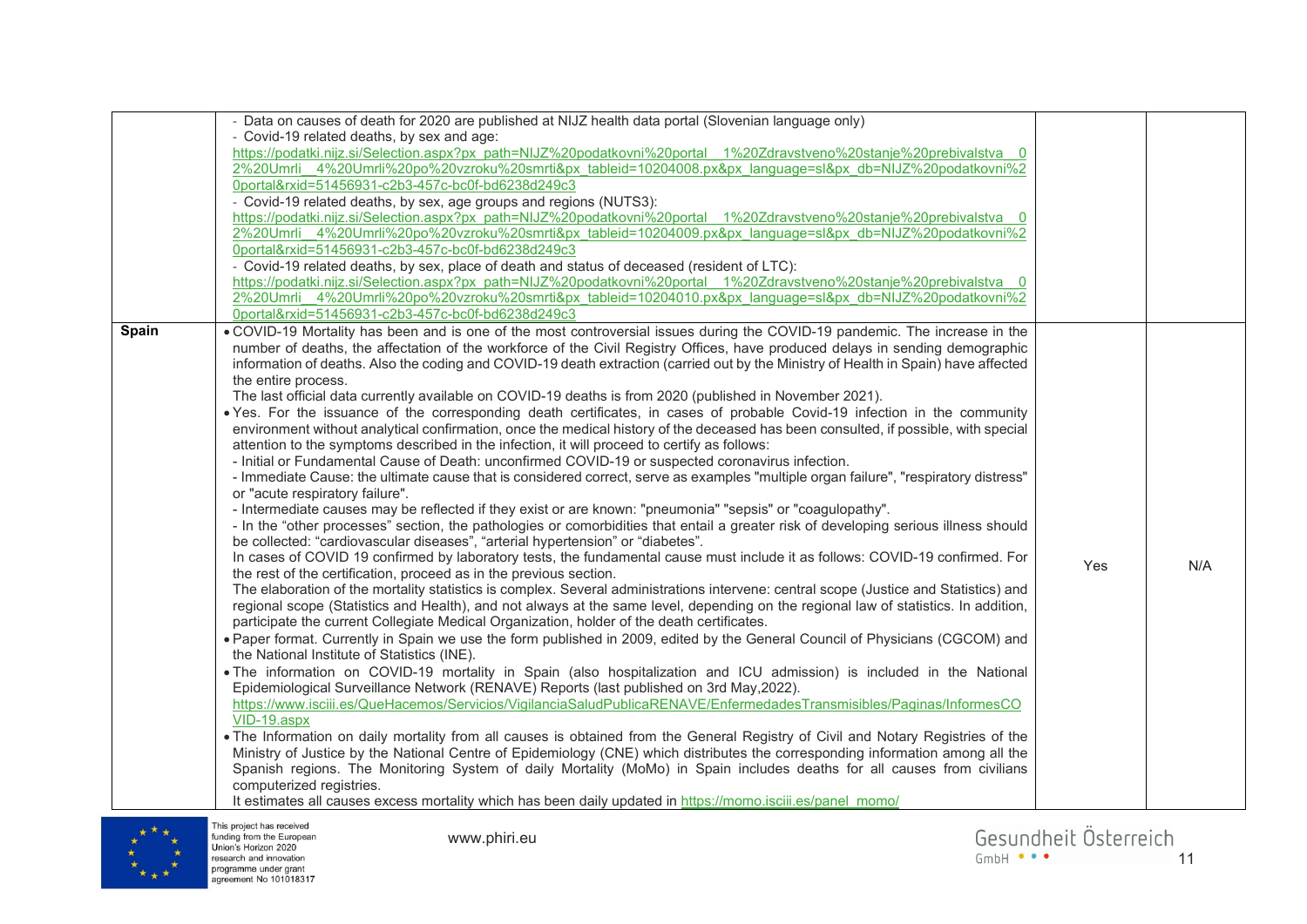|       | - Data on causes of death for 2020 are published at NIJZ health data portal (Slovenian language only)<br>- Covid-19 related deaths, by sex and age:<br>https://podatki.nijz.si/Selection.aspx?px_path=NIJZ%20podatkovni%20portal 1%20Zdravstveno%20stanje%20prebivalstva 0<br>2%20Umrli 4%20Umrli%20po%20vzroku%20smrti&px tableid=10204008.px&px language=sl&px db=NIJZ%20podatkovni%2<br>0portal&rxid=51456931-c2b3-457c-bc0f-bd6238d249c3<br>- Covid-19 related deaths, by sex, age groups and regions (NUTS3):<br>https://podatki.nijz.si/Selection.aspx?px_path=NIJZ%20podatkovni%20portal_1%20Zdravstveno%20stanje%20prebivalstva_0<br>2%20Umrli_4%20Umrli%20po%20vzroku%20smrti&px_tableid=10204009.px&px_language=sl&px_db=NIJZ%20podatkovni%2<br>0portal&rxid=51456931-c2b3-457c-bc0f-bd6238d249c3<br>- Covid-19 related deaths, by sex, place of death and status of deceased (resident of LTC):<br>https://podatki.nijz.si/Selection.aspx?px_path=NIJZ%20podatkovni%20portal 1%20Zdravstveno%20stanje%20prebivalstva 0<br>2%20Umrli 4%20Umrli%20po%20vzroku%20smrti&px tableid=10204010.px&px language=sl&px db=NIJZ%20podatkovni%2                                                                                                                                                                                                                                                                                                                                                                                                                                                                                                                                                                                                                                                                                                                                                                                                                                                                                                                                                                                                                                                                                                                                                                                                                                                                                                                                                                                                                                                                                                                                                                                                                                                                                                                                                                                                                                                                                                                                                                                                                                                                                                                        |     |     |
|-------|-----------------------------------------------------------------------------------------------------------------------------------------------------------------------------------------------------------------------------------------------------------------------------------------------------------------------------------------------------------------------------------------------------------------------------------------------------------------------------------------------------------------------------------------------------------------------------------------------------------------------------------------------------------------------------------------------------------------------------------------------------------------------------------------------------------------------------------------------------------------------------------------------------------------------------------------------------------------------------------------------------------------------------------------------------------------------------------------------------------------------------------------------------------------------------------------------------------------------------------------------------------------------------------------------------------------------------------------------------------------------------------------------------------------------------------------------------------------------------------------------------------------------------------------------------------------------------------------------------------------------------------------------------------------------------------------------------------------------------------------------------------------------------------------------------------------------------------------------------------------------------------------------------------------------------------------------------------------------------------------------------------------------------------------------------------------------------------------------------------------------------------------------------------------------------------------------------------------------------------------------------------------------------------------------------------------------------------------------------------------------------------------------------------------------------------------------------------------------------------------------------------------------------------------------------------------------------------------------------------------------------------------------------------------------------------------------------------------------------------------------------------------------------------------------------------------------------------------------------------------------------------------------------------------------------------------------------------------------------------------------------------------------------------------------------------------------------------------------------------------------------------------------------------------------------------------------------------------------------------------------------------------------|-----|-----|
| Spain | 0portal&rxid=51456931-c2b3-457c-bc0f-bd6238d249c3<br>. COVID-19 Mortality has been and is one of the most controversial issues during the COVID-19 pandemic. The increase in the<br>number of deaths, the affectation of the workforce of the Civil Registry Offices, have produced delays in sending demographic<br>information of deaths. Also the coding and COVID-19 death extraction (carried out by the Ministry of Health in Spain) have affected<br>the entire process.<br>The last official data currently available on COVID-19 deaths is from 2020 (published in November 2021).<br>. Yes. For the issuance of the corresponding death certificates, in cases of probable Covid-19 infection in the community<br>environment without analytical confirmation, once the medical history of the deceased has been consulted, if possible, with special<br>attention to the symptoms described in the infection, it will proceed to certify as follows:<br>- Initial or Fundamental Cause of Death: unconfirmed COVID-19 or suspected coronavirus infection.<br>- Immediate Cause: the ultimate cause that is considered correct, serve as examples "multiple organ failure", "respiratory distress"<br>or "acute respiratory failure".<br>- Intermediate causes may be reflected if they exist or are known: "pneumonia" "sepsis" or "coagulopathy".<br>- In the "other processes" section, the pathologies or comorbidities that entail a greater risk of developing serious illness should<br>be collected: "cardiovascular diseases", "arterial hypertension" or "diabetes".<br>In cases of COVID 19 confirmed by laboratory tests, the fundamental cause must include it as follows: COVID-19 confirmed. For<br>the rest of the certification, proceed as in the previous section.<br>The elaboration of the mortality statistics is complex. Several administrations intervene: central scope (Justice and Statistics) and<br>regional scope (Statistics and Health), and not always at the same level, depending on the regional law of statistics. In addition,<br>participate the current Collegiate Medical Organization, holder of the death certificates.<br>. Paper format. Currently in Spain we use the form published in 2009, edited by the General Council of Physicians (CGCOM) and<br>the National Institute of Statistics (INE).<br>. The information on COVID-19 mortality in Spain (also hospitalization and ICU admission) is included in the National<br>Epidemiological Surveillance Network (RENAVE) Reports (last published on 3rd May, 2022).<br>https://www.isciii.es/QueHacemos/Servicios/VigilanciaSaludPublicaRENAVE/EnfermedadesTransmisibles/Paginas/InformesCO<br>VID-19.aspx<br>. The Information on daily mortality from all causes is obtained from the General Registry of Civil and Notary Registries of the<br>Ministry of Justice by the National Centre of Epidemiology (CNE) which distributes the corresponding information among all the<br>Spanish regions. The Monitoring System of daily Mortality (MoMo) in Spain includes deaths for all causes from civilians<br>computerized registries.<br>It estimates all causes excess mortality which has been daily updated in https://momo.isciii.es/panel momo/ | Yes | N/A |



This project has received<br>funding from the European<br>Union's Horizon 2020<br>research and innovation<br>programme under grant<br>agreement No 101018317

www.phiri.eu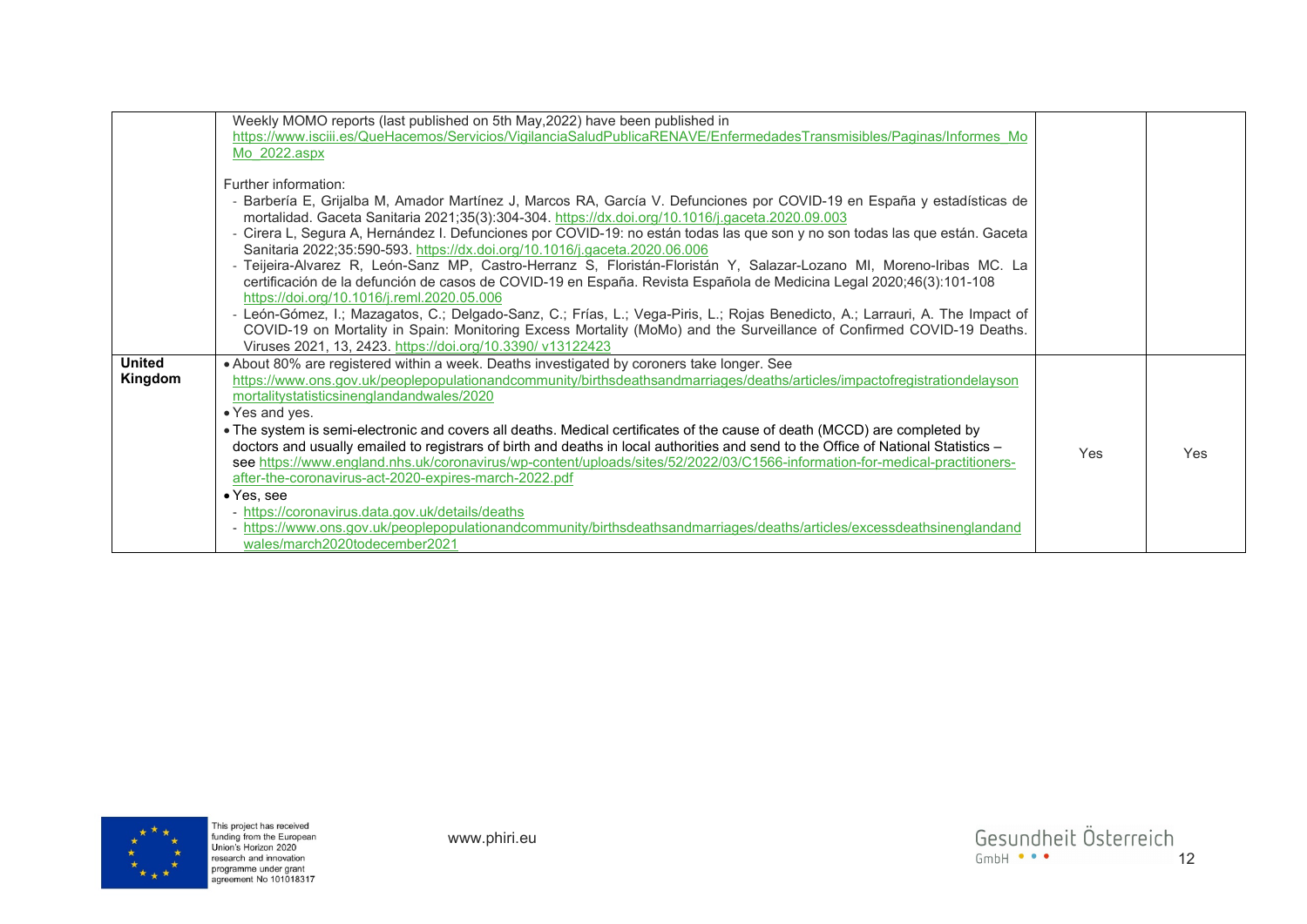|               | Weekly MOMO reports (last published on 5th May, 2022) have been published in<br>https://www.isciii.es/QueHacemos/Servicios/VigilanciaSaludPublicaRENAVE/EnfermedadesTransmisibles/Paginas/Informes Mo<br>Mo $2022 \text{.aspx}$                        |     |            |
|---------------|--------------------------------------------------------------------------------------------------------------------------------------------------------------------------------------------------------------------------------------------------------|-----|------------|
|               | Further information:                                                                                                                                                                                                                                   |     |            |
|               | - Barbería E, Grijalba M, Amador Martínez J, Marcos RA, García V. Defunciones por COVID-19 en España y estadísticas de<br>mortalidad. Gaceta Sanitaria 2021;35(3):304-304. https://dx.doi.org/10.1016/j.gaceta.2020.09.003                             |     |            |
|               | - Cirera L, Segura A, Hernández I. Defunciones por COVID-19: no están todas las que son y no son todas las que están. Gaceta                                                                                                                           |     |            |
|               | Sanitaria 2022;35:590-593. https://dx.doi.org/10.1016/j.gaceta.2020.06.006<br>- Teijeira-Alvarez R, León-Sanz MP, Castro-Herranz S, Floristán-Floristán Y, Salazar-Lozano MI, Moreno-Iribas MC. La                                                     |     |            |
|               | certificación de la defunción de casos de COVID-19 en España. Revista Española de Medicina Legal 2020;46(3):101-108                                                                                                                                    |     |            |
|               | https://doi.org/10.1016/j.reml.2020.05.006                                                                                                                                                                                                             |     |            |
|               | - León-Gómez, I.; Mazagatos, C.; Delgado-Sanz, C.; Frías, L.; Vega-Piris, L.; Rojas Benedicto, A.; Larrauri, A. The Impact of<br>COVID-19 on Mortality in Spain: Monitoring Excess Mortality (MoMo) and the Surveillance of Confirmed COVID-19 Deaths. |     |            |
|               | Viruses 2021, 13, 2423. https://doi.org/10.3390/ v13122423                                                                                                                                                                                             |     |            |
| <b>United</b> | . About 80% are registered within a week. Deaths investigated by coroners take longer. See                                                                                                                                                             |     |            |
| Kingdom       | https://www.ons.gov.uk/peoplepopulationandcommunity/birthsdeathsandmarriages/deaths/articles/impactofregistrationdelayson<br>mortalitystatisticsinenglandandwales/2020                                                                                 |     |            |
|               | • Yes and yes.                                                                                                                                                                                                                                         |     |            |
|               | . The system is semi-electronic and covers all deaths. Medical certificates of the cause of death (MCCD) are completed by                                                                                                                              |     |            |
|               | doctors and usually emailed to registrars of birth and deaths in local authorities and send to the Office of National Statistics -                                                                                                                     | Yes | <b>Yes</b> |
|               | see https://www.england.nhs.uk/coronavirus/wp-content/uploads/sites/52/2022/03/C1566-information-for-medical-practitioners-<br>after-the-coronavirus-act-2020-expires-march-2022.pdf                                                                   |     |            |
|               | $\bullet$ Yes, see                                                                                                                                                                                                                                     |     |            |
|               | - https://coronavirus.data.gov.uk/details/deaths                                                                                                                                                                                                       |     |            |
|               | - https://www.ons.gov.uk/peoplepopulationandcommunity/birthsdeathsandmarriages/deaths/articles/excessdeathsinenglandand                                                                                                                                |     |            |
|               | wales/march2020todecember2021                                                                                                                                                                                                                          |     |            |